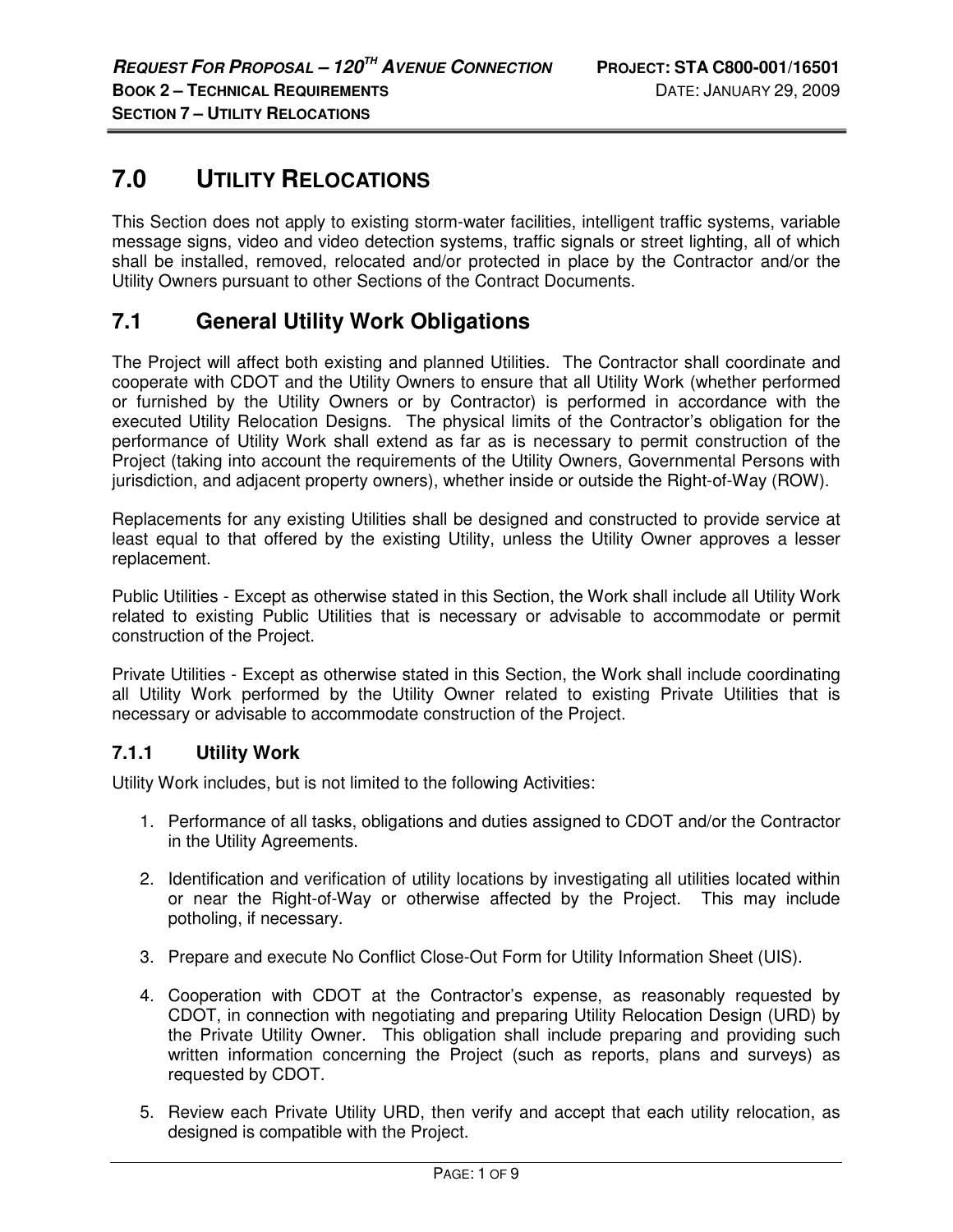# **7.0 UTILITY RELOCATIONS**

This Section does not apply to existing storm-water facilities, intelligent traffic systems, variable message signs, video and video detection systems, traffic signals or street lighting, all of which shall be installed, removed, relocated and/or protected in place by the Contractor and/or the Utility Owners pursuant to other Sections of the Contract Documents.

## **7.1 General Utility Work Obligations**

The Project will affect both existing and planned Utilities. The Contractor shall coordinate and cooperate with CDOT and the Utility Owners to ensure that all Utility Work (whether performed or furnished by the Utility Owners or by Contractor) is performed in accordance with the executed Utility Relocation Designs. The physical limits of the Contractor's obligation for the performance of Utility Work shall extend as far as is necessary to permit construction of the Project (taking into account the requirements of the Utility Owners, Governmental Persons with jurisdiction, and adjacent property owners), whether inside or outside the Right-of-Way (ROW).

Replacements for any existing Utilities shall be designed and constructed to provide service at least equal to that offered by the existing Utility, unless the Utility Owner approves a lesser replacement.

Public Utilities - Except as otherwise stated in this Section, the Work shall include all Utility Work related to existing Public Utilities that is necessary or advisable to accommodate or permit construction of the Project.

Private Utilities - Except as otherwise stated in this Section, the Work shall include coordinating all Utility Work performed by the Utility Owner related to existing Private Utilities that is necessary or advisable to accommodate construction of the Project.

## **7.1.1 Utility Work**

Utility Work includes, but is not limited to the following Activities:

- 1. Performance of all tasks, obligations and duties assigned to CDOT and/or the Contractor in the Utility Agreements.
- 2. Identification and verification of utility locations by investigating all utilities located within or near the Right-of-Way or otherwise affected by the Project. This may include potholing, if necessary.
- 3. Prepare and execute No Conflict Close-Out Form for Utility Information Sheet (UIS).
- 4. Cooperation with CDOT at the Contractor's expense, as reasonably requested by CDOT, in connection with negotiating and preparing Utility Relocation Design (URD) by the Private Utility Owner. This obligation shall include preparing and providing such written information concerning the Project (such as reports, plans and surveys) as requested by CDOT.
- 5. Review each Private Utility URD, then verify and accept that each utility relocation, as designed is compatible with the Project.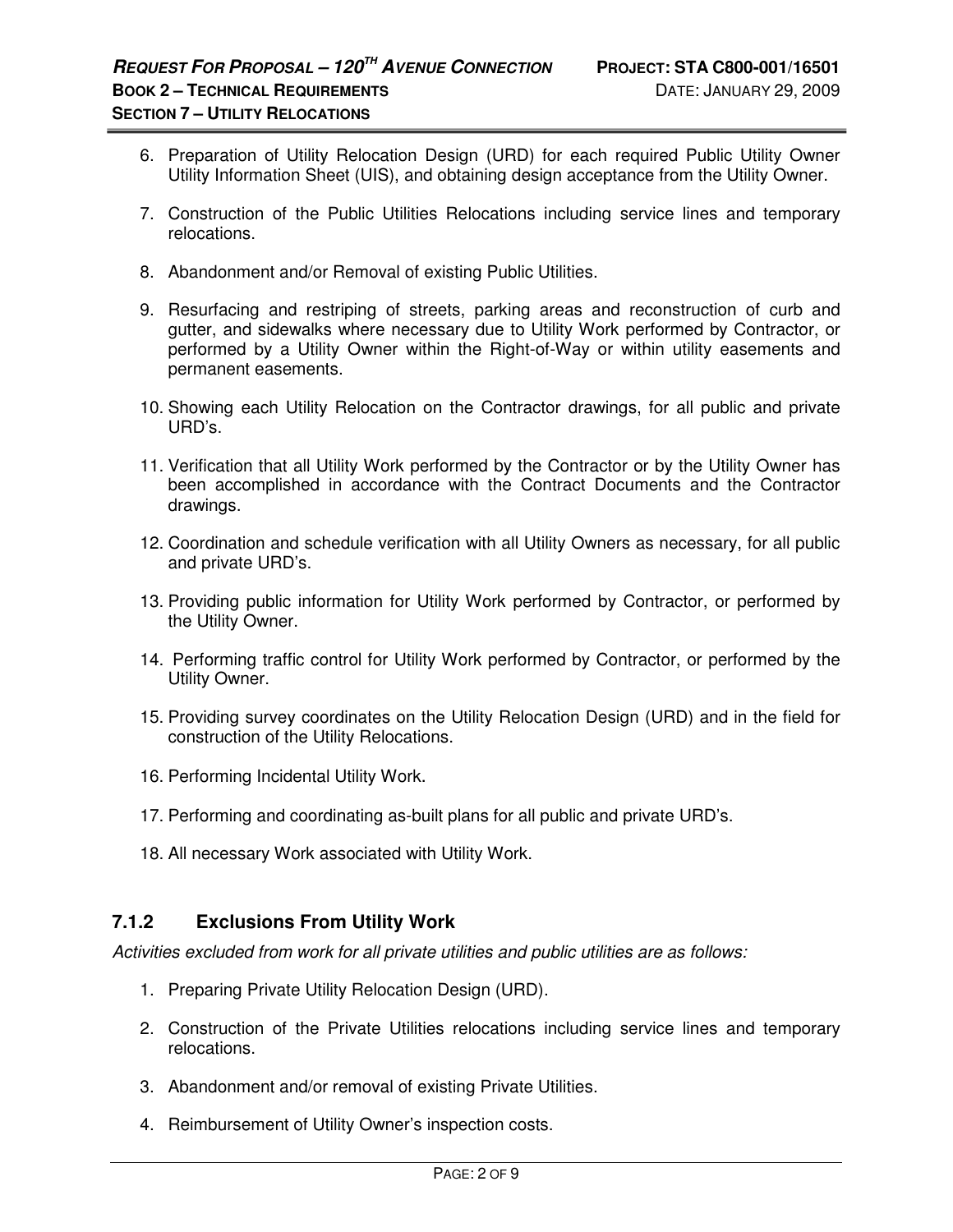- 6. Preparation of Utility Relocation Design (URD) for each required Public Utility Owner Utility Information Sheet (UIS), and obtaining design acceptance from the Utility Owner.
- 7. Construction of the Public Utilities Relocations including service lines and temporary relocations.
- 8. Abandonment and/or Removal of existing Public Utilities.
- 9. Resurfacing and restriping of streets, parking areas and reconstruction of curb and gutter, and sidewalks where necessary due to Utility Work performed by Contractor, or performed by a Utility Owner within the Right-of-Way or within utility easements and permanent easements.
- 10. Showing each Utility Relocation on the Contractor drawings, for all public and private URD's.
- 11. Verification that all Utility Work performed by the Contractor or by the Utility Owner has been accomplished in accordance with the Contract Documents and the Contractor drawings.
- 12. Coordination and schedule verification with all Utility Owners as necessary, for all public and private URD's.
- 13. Providing public information for Utility Work performed by Contractor, or performed by the Utility Owner.
- 14. Performing traffic control for Utility Work performed by Contractor, or performed by the Utility Owner.
- 15. Providing survey coordinates on the Utility Relocation Design (URD) and in the field for construction of the Utility Relocations.
- 16. Performing Incidental Utility Work.
- 17. Performing and coordinating as-built plans for all public and private URD's.
- 18. All necessary Work associated with Utility Work.

## **7.1.2 Exclusions From Utility Work**

Activities excluded from work for all private utilities and public utilities are as follows:

- 1. Preparing Private Utility Relocation Design (URD).
- 2. Construction of the Private Utilities relocations including service lines and temporary relocations.
- 3. Abandonment and/or removal of existing Private Utilities.
- 4. Reimbursement of Utility Owner's inspection costs.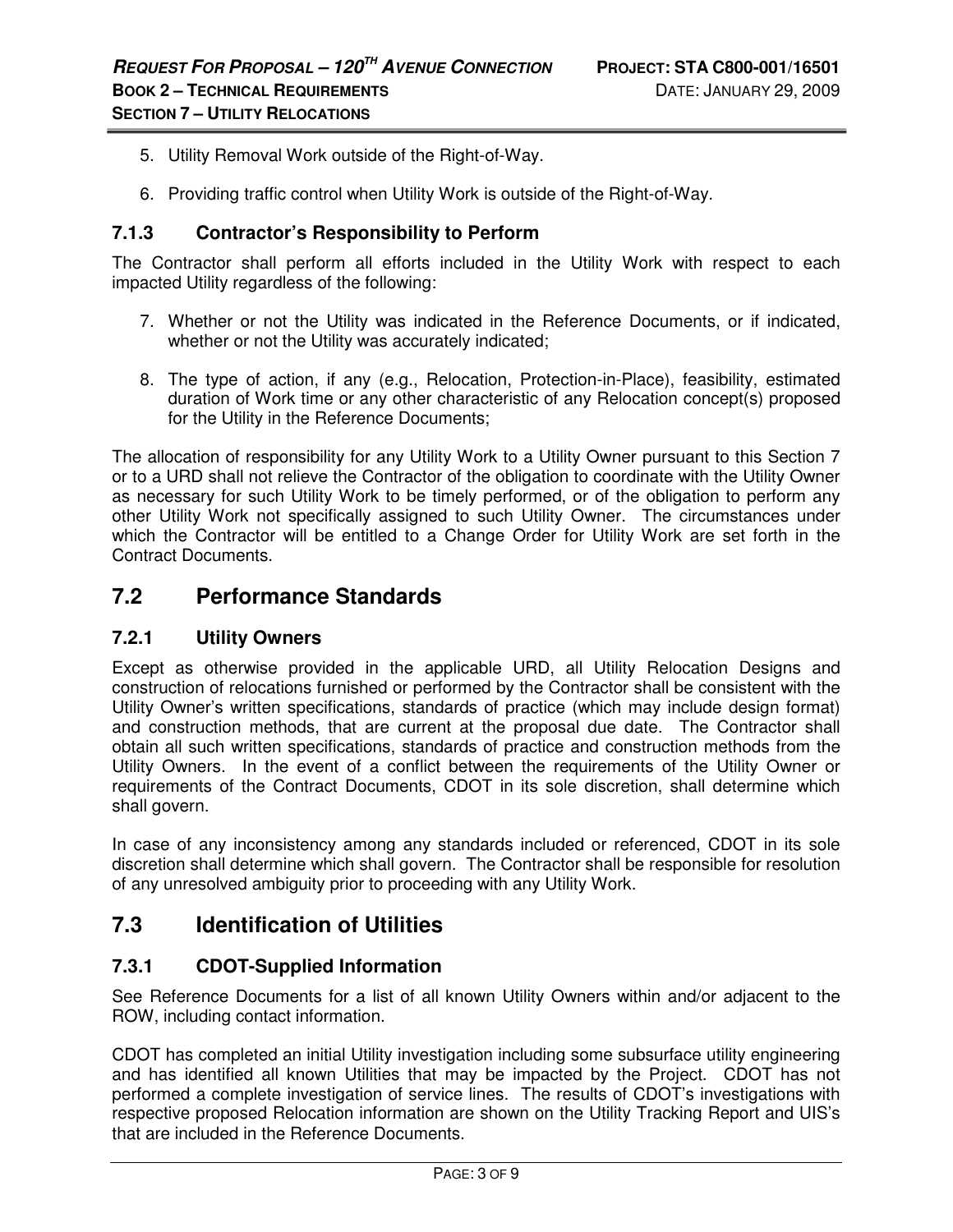- 5. Utility Removal Work outside of the Right-of-Way.
- 6. Providing traffic control when Utility Work is outside of the Right-of-Way.

#### **7.1.3 Contractor's Responsibility to Perform**

The Contractor shall perform all efforts included in the Utility Work with respect to each impacted Utility regardless of the following:

- 7. Whether or not the Utility was indicated in the Reference Documents, or if indicated, whether or not the Utility was accurately indicated;
- 8. The type of action, if any (e.g., Relocation, Protection-in-Place), feasibility, estimated duration of Work time or any other characteristic of any Relocation concept(s) proposed for the Utility in the Reference Documents;

The allocation of responsibility for any Utility Work to a Utility Owner pursuant to this Section 7 or to a URD shall not relieve the Contractor of the obligation to coordinate with the Utility Owner as necessary for such Utility Work to be timely performed, or of the obligation to perform any other Utility Work not specifically assigned to such Utility Owner. The circumstances under which the Contractor will be entitled to a Change Order for Utility Work are set forth in the Contract Documents.

## **7.2 Performance Standards**

#### **7.2.1 Utility Owners**

Except as otherwise provided in the applicable URD, all Utility Relocation Designs and construction of relocations furnished or performed by the Contractor shall be consistent with the Utility Owner's written specifications, standards of practice (which may include design format) and construction methods, that are current at the proposal due date. The Contractor shall obtain all such written specifications, standards of practice and construction methods from the Utility Owners. In the event of a conflict between the requirements of the Utility Owner or requirements of the Contract Documents, CDOT in its sole discretion, shall determine which shall govern.

In case of any inconsistency among any standards included or referenced, CDOT in its sole discretion shall determine which shall govern. The Contractor shall be responsible for resolution of any unresolved ambiguity prior to proceeding with any Utility Work.

## **7.3 Identification of Utilities**

## **7.3.1 CDOT-Supplied Information**

See Reference Documents for a list of all known Utility Owners within and/or adjacent to the ROW, including contact information.

CDOT has completed an initial Utility investigation including some subsurface utility engineering and has identified all known Utilities that may be impacted by the Project. CDOT has not performed a complete investigation of service lines. The results of CDOT's investigations with respective proposed Relocation information are shown on the Utility Tracking Report and UIS's that are included in the Reference Documents.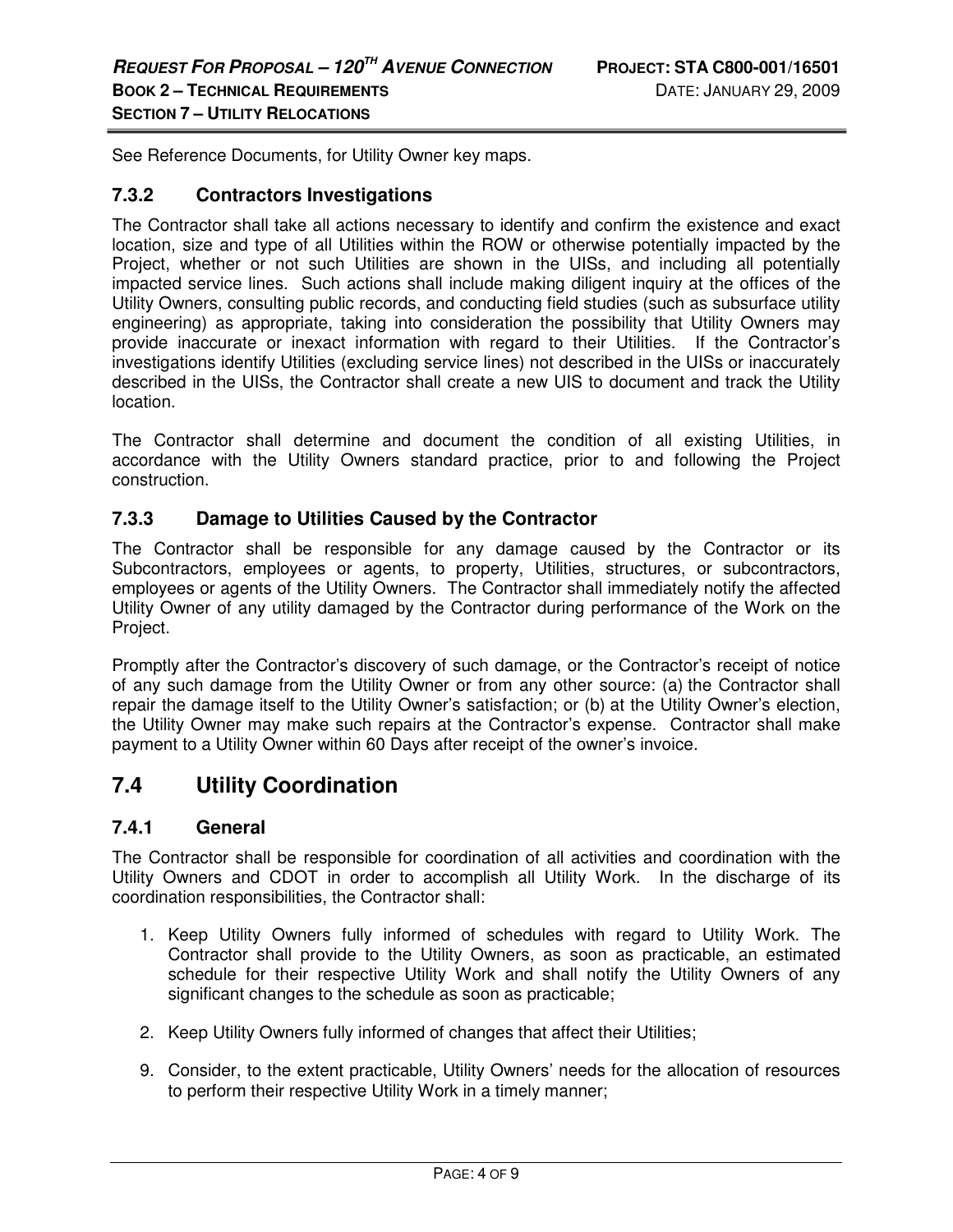See Reference Documents, for Utility Owner key maps.

#### **7.3.2 Contractors Investigations**

The Contractor shall take all actions necessary to identify and confirm the existence and exact location, size and type of all Utilities within the ROW or otherwise potentially impacted by the Project, whether or not such Utilities are shown in the UISs, and including all potentially impacted service lines. Such actions shall include making diligent inquiry at the offices of the Utility Owners, consulting public records, and conducting field studies (such as subsurface utility engineering) as appropriate, taking into consideration the possibility that Utility Owners may provide inaccurate or inexact information with regard to their Utilities. If the Contractor's investigations identify Utilities (excluding service lines) not described in the UISs or inaccurately described in the UISs, the Contractor shall create a new UIS to document and track the Utility location.

The Contractor shall determine and document the condition of all existing Utilities, in accordance with the Utility Owners standard practice, prior to and following the Project construction.

#### **7.3.3 Damage to Utilities Caused by the Contractor**

The Contractor shall be responsible for any damage caused by the Contractor or its Subcontractors, employees or agents, to property, Utilities, structures, or subcontractors, employees or agents of the Utility Owners. The Contractor shall immediately notify the affected Utility Owner of any utility damaged by the Contractor during performance of the Work on the Project.

Promptly after the Contractor's discovery of such damage, or the Contractor's receipt of notice of any such damage from the Utility Owner or from any other source: (a) the Contractor shall repair the damage itself to the Utility Owner's satisfaction; or (b) at the Utility Owner's election, the Utility Owner may make such repairs at the Contractor's expense. Contractor shall make payment to a Utility Owner within 60 Days after receipt of the owner's invoice.

## **7.4 Utility Coordination**

#### **7.4.1 General**

The Contractor shall be responsible for coordination of all activities and coordination with the Utility Owners and CDOT in order to accomplish all Utility Work. In the discharge of its coordination responsibilities, the Contractor shall:

- 1. Keep Utility Owners fully informed of schedules with regard to Utility Work. The Contractor shall provide to the Utility Owners, as soon as practicable, an estimated schedule for their respective Utility Work and shall notify the Utility Owners of any significant changes to the schedule as soon as practicable;
- 2. Keep Utility Owners fully informed of changes that affect their Utilities;
- 9. Consider, to the extent practicable, Utility Owners' needs for the allocation of resources to perform their respective Utility Work in a timely manner;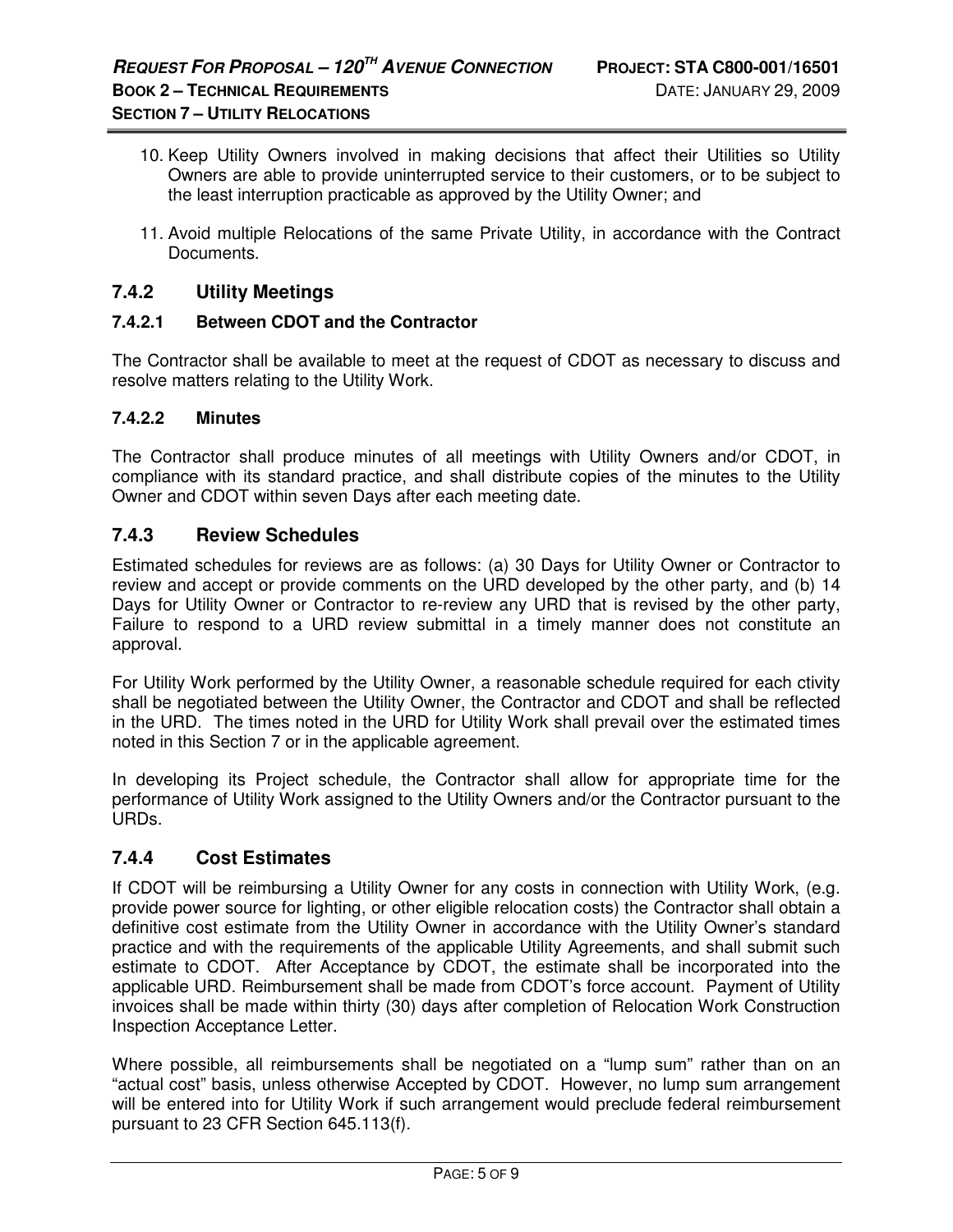- 10. Keep Utility Owners involved in making decisions that affect their Utilities so Utility Owners are able to provide uninterrupted service to their customers, or to be subject to the least interruption practicable as approved by the Utility Owner; and
- 11. Avoid multiple Relocations of the same Private Utility, in accordance with the Contract Documents.

### **7.4.2 Utility Meetings**

#### **7.4.2.1 Between CDOT and the Contractor**

The Contractor shall be available to meet at the request of CDOT as necessary to discuss and resolve matters relating to the Utility Work.

#### **7.4.2.2 Minutes**

The Contractor shall produce minutes of all meetings with Utility Owners and/or CDOT, in compliance with its standard practice, and shall distribute copies of the minutes to the Utility Owner and CDOT within seven Days after each meeting date.

#### **7.4.3 Review Schedules**

Estimated schedules for reviews are as follows: (a) 30 Days for Utility Owner or Contractor to review and accept or provide comments on the URD developed by the other party, and (b) 14 Days for Utility Owner or Contractor to re-review any URD that is revised by the other party, Failure to respond to a URD review submittal in a timely manner does not constitute an approval.

For Utility Work performed by the Utility Owner, a reasonable schedule required for each ctivity shall be negotiated between the Utility Owner, the Contractor and CDOT and shall be reflected in the URD. The times noted in the URD for Utility Work shall prevail over the estimated times noted in this Section 7 or in the applicable agreement.

In developing its Project schedule, the Contractor shall allow for appropriate time for the performance of Utility Work assigned to the Utility Owners and/or the Contractor pursuant to the URDs.

#### **7.4.4 Cost Estimates**

If CDOT will be reimbursing a Utility Owner for any costs in connection with Utility Work, (e.g. provide power source for lighting, or other eligible relocation costs) the Contractor shall obtain a definitive cost estimate from the Utility Owner in accordance with the Utility Owner's standard practice and with the requirements of the applicable Utility Agreements, and shall submit such estimate to CDOT. After Acceptance by CDOT, the estimate shall be incorporated into the applicable URD. Reimbursement shall be made from CDOT's force account. Payment of Utility invoices shall be made within thirty (30) days after completion of Relocation Work Construction Inspection Acceptance Letter.

Where possible, all reimbursements shall be negotiated on a "lump sum" rather than on an "actual cost" basis, unless otherwise Accepted by CDOT. However, no lump sum arrangement will be entered into for Utility Work if such arrangement would preclude federal reimbursement pursuant to 23 CFR Section 645.113(f).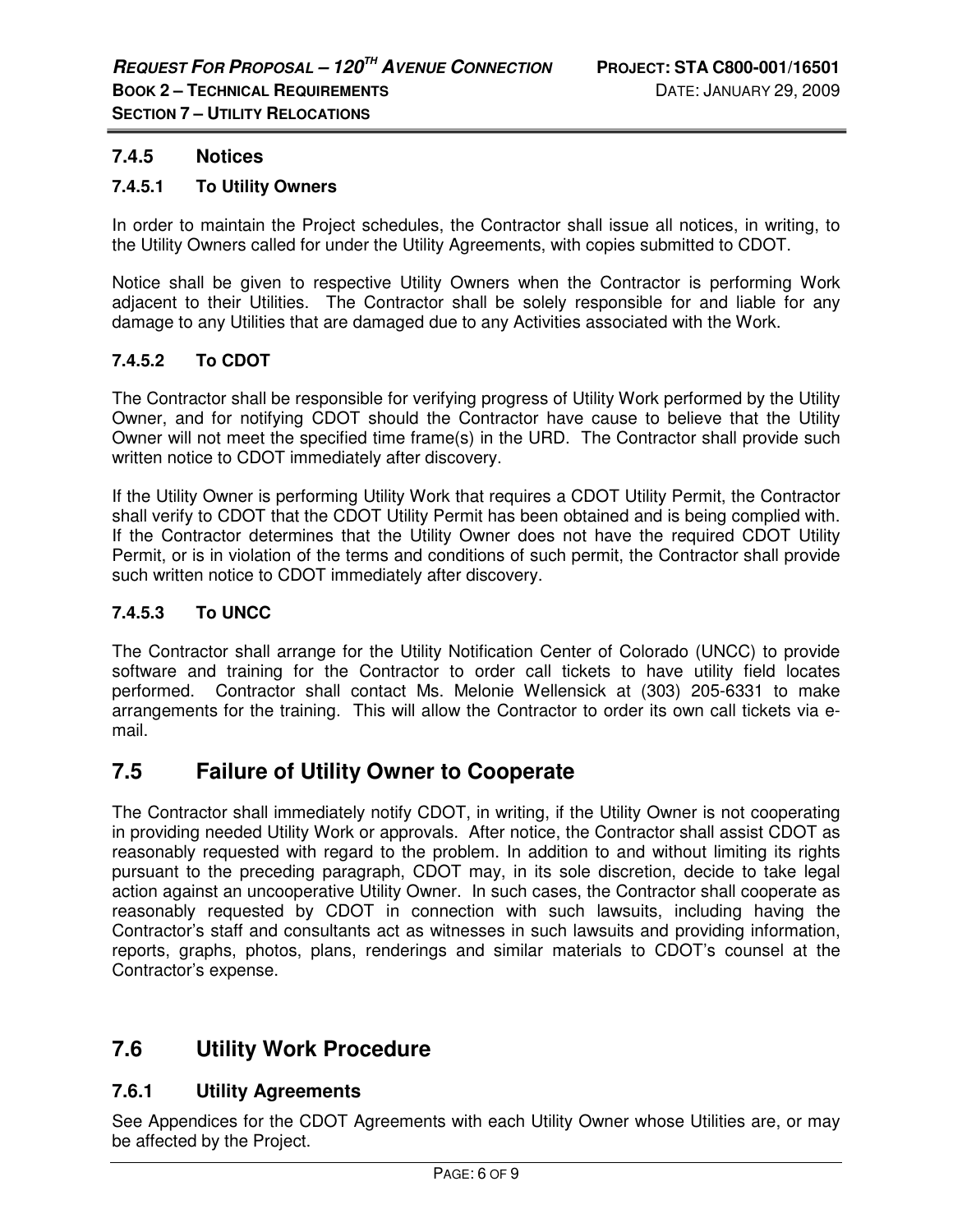### **7.4.5 Notices**

#### **7.4.5.1 To Utility Owners**

In order to maintain the Project schedules, the Contractor shall issue all notices, in writing, to the Utility Owners called for under the Utility Agreements, with copies submitted to CDOT.

Notice shall be given to respective Utility Owners when the Contractor is performing Work adjacent to their Utilities. The Contractor shall be solely responsible for and liable for any damage to any Utilities that are damaged due to any Activities associated with the Work.

#### **7.4.5.2 To CDOT**

The Contractor shall be responsible for verifying progress of Utility Work performed by the Utility Owner, and for notifying CDOT should the Contractor have cause to believe that the Utility Owner will not meet the specified time frame(s) in the URD. The Contractor shall provide such written notice to CDOT immediately after discovery.

If the Utility Owner is performing Utility Work that requires a CDOT Utility Permit, the Contractor shall verify to CDOT that the CDOT Utility Permit has been obtained and is being complied with. If the Contractor determines that the Utility Owner does not have the required CDOT Utility Permit, or is in violation of the terms and conditions of such permit, the Contractor shall provide such written notice to CDOT immediately after discovery.

#### **7.4.5.3 To UNCC**

The Contractor shall arrange for the Utility Notification Center of Colorado (UNCC) to provide software and training for the Contractor to order call tickets to have utility field locates performed. Contractor shall contact Ms. Melonie Wellensick at (303) 205-6331 to make arrangements for the training. This will allow the Contractor to order its own call tickets via email.

## **7.5 Failure of Utility Owner to Cooperate**

The Contractor shall immediately notify CDOT, in writing, if the Utility Owner is not cooperating in providing needed Utility Work or approvals. After notice, the Contractor shall assist CDOT as reasonably requested with regard to the problem. In addition to and without limiting its rights pursuant to the preceding paragraph, CDOT may, in its sole discretion, decide to take legal action against an uncooperative Utility Owner. In such cases, the Contractor shall cooperate as reasonably requested by CDOT in connection with such lawsuits, including having the Contractor's staff and consultants act as witnesses in such lawsuits and providing information, reports, graphs, photos, plans, renderings and similar materials to CDOT's counsel at the Contractor's expense.

## **7.6 Utility Work Procedure**

## **7.6.1 Utility Agreements**

See Appendices for the CDOT Agreements with each Utility Owner whose Utilities are, or may be affected by the Project.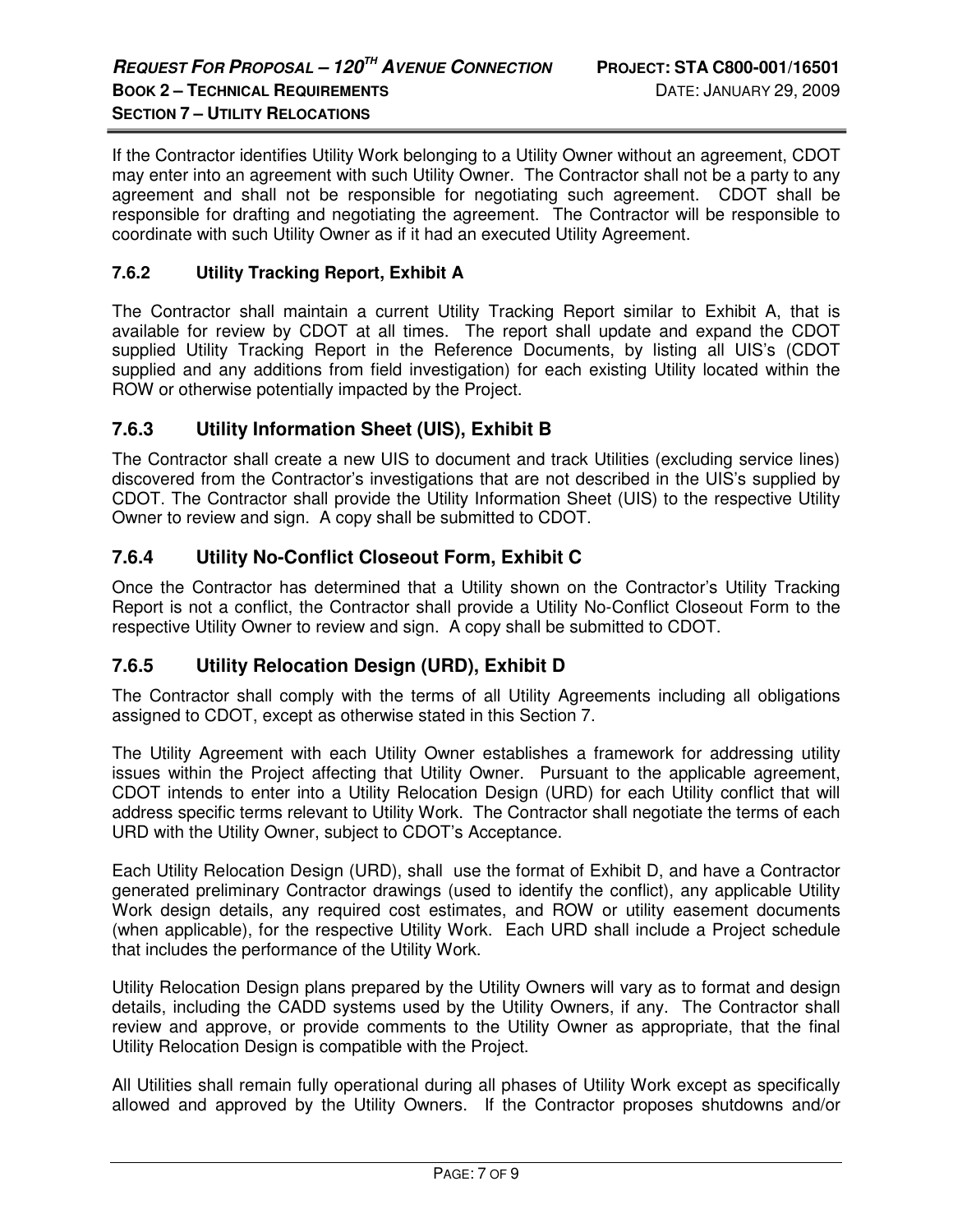If the Contractor identifies Utility Work belonging to a Utility Owner without an agreement, CDOT may enter into an agreement with such Utility Owner. The Contractor shall not be a party to any agreement and shall not be responsible for negotiating such agreement. CDOT shall be responsible for drafting and negotiating the agreement. The Contractor will be responsible to coordinate with such Utility Owner as if it had an executed Utility Agreement.

#### **7.6.2 Utility Tracking Report, Exhibit A**

The Contractor shall maintain a current Utility Tracking Report similar to Exhibit A, that is available for review by CDOT at all times. The report shall update and expand the CDOT supplied Utility Tracking Report in the Reference Documents, by listing all UIS's (CDOT supplied and any additions from field investigation) for each existing Utility located within the ROW or otherwise potentially impacted by the Project.

#### **7.6.3 Utility Information Sheet (UIS), Exhibit B**

The Contractor shall create a new UIS to document and track Utilities (excluding service lines) discovered from the Contractor's investigations that are not described in the UIS's supplied by CDOT. The Contractor shall provide the Utility Information Sheet (UIS) to the respective Utility Owner to review and sign. A copy shall be submitted to CDOT.

## **7.6.4 Utility No-Conflict Closeout Form, Exhibit C**

Once the Contractor has determined that a Utility shown on the Contractor's Utility Tracking Report is not a conflict, the Contractor shall provide a Utility No-Conflict Closeout Form to the respective Utility Owner to review and sign. A copy shall be submitted to CDOT.

## **7.6.5 Utility Relocation Design (URD), Exhibit D**

The Contractor shall comply with the terms of all Utility Agreements including all obligations assigned to CDOT, except as otherwise stated in this Section 7.

The Utility Agreement with each Utility Owner establishes a framework for addressing utility issues within the Project affecting that Utility Owner. Pursuant to the applicable agreement, CDOT intends to enter into a Utility Relocation Design (URD) for each Utility conflict that will address specific terms relevant to Utility Work. The Contractor shall negotiate the terms of each URD with the Utility Owner, subject to CDOT's Acceptance.

Each Utility Relocation Design (URD), shall use the format of Exhibit D, and have a Contractor generated preliminary Contractor drawings (used to identify the conflict), any applicable Utility Work design details, any required cost estimates, and ROW or utility easement documents (when applicable), for the respective Utility Work. Each URD shall include a Project schedule that includes the performance of the Utility Work.

Utility Relocation Design plans prepared by the Utility Owners will vary as to format and design details, including the CADD systems used by the Utility Owners, if any. The Contractor shall review and approve, or provide comments to the Utility Owner as appropriate, that the final Utility Relocation Design is compatible with the Project.

All Utilities shall remain fully operational during all phases of Utility Work except as specifically allowed and approved by the Utility Owners. If the Contractor proposes shutdowns and/or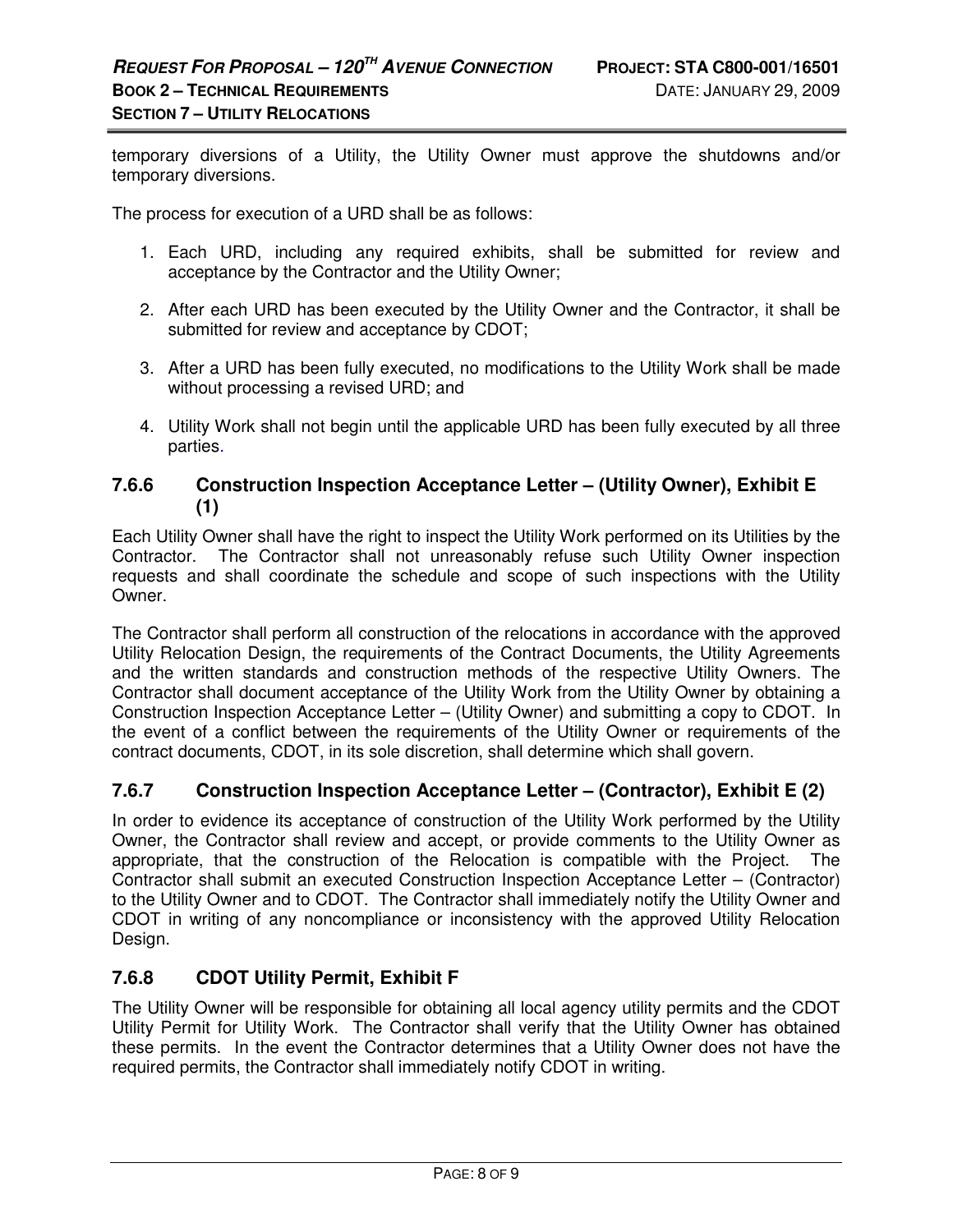temporary diversions of a Utility, the Utility Owner must approve the shutdowns and/or temporary diversions.

The process for execution of a URD shall be as follows:

- 1. Each URD, including any required exhibits, shall be submitted for review and acceptance by the Contractor and the Utility Owner;
- 2. After each URD has been executed by the Utility Owner and the Contractor, it shall be submitted for review and acceptance by CDOT;
- 3. After a URD has been fully executed, no modifications to the Utility Work shall be made without processing a revised URD; and
- 4. Utility Work shall not begin until the applicable URD has been fully executed by all three parties.

### **7.6.6 Construction Inspection Acceptance Letter – (Utility Owner), Exhibit E (1)**

Each Utility Owner shall have the right to inspect the Utility Work performed on its Utilities by the Contractor. The Contractor shall not unreasonably refuse such Utility Owner inspection requests and shall coordinate the schedule and scope of such inspections with the Utility Owner.

The Contractor shall perform all construction of the relocations in accordance with the approved Utility Relocation Design, the requirements of the Contract Documents, the Utility Agreements and the written standards and construction methods of the respective Utility Owners. The Contractor shall document acceptance of the Utility Work from the Utility Owner by obtaining a Construction Inspection Acceptance Letter – (Utility Owner) and submitting a copy to CDOT. In the event of a conflict between the requirements of the Utility Owner or requirements of the contract documents, CDOT, in its sole discretion, shall determine which shall govern.

## **7.6.7 Construction Inspection Acceptance Letter – (Contractor), Exhibit E (2)**

In order to evidence its acceptance of construction of the Utility Work performed by the Utility Owner, the Contractor shall review and accept, or provide comments to the Utility Owner as appropriate, that the construction of the Relocation is compatible with the Project. The Contractor shall submit an executed Construction Inspection Acceptance Letter – (Contractor) to the Utility Owner and to CDOT. The Contractor shall immediately notify the Utility Owner and CDOT in writing of any noncompliance or inconsistency with the approved Utility Relocation Design.

## **7.6.8 CDOT Utility Permit, Exhibit F**

The Utility Owner will be responsible for obtaining all local agency utility permits and the CDOT Utility Permit for Utility Work. The Contractor shall verify that the Utility Owner has obtained these permits. In the event the Contractor determines that a Utility Owner does not have the required permits, the Contractor shall immediately notify CDOT in writing.